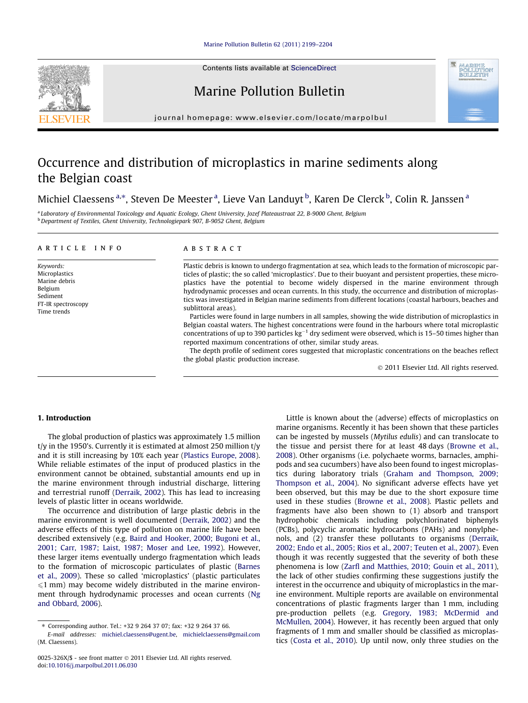Contents lists available at [ScienceDirect](http://www.sciencedirect.com/science/journal/0025326X)

# Marine Pollution Bulletin

journal homepage: [www.elsevier.com/locate/marpolbul](http://www.elsevier.com/locate/marpolbul)

# Occurrence and distribution of microplastics in marine sediments along the Belgian coast

Michiel Claessens <sup>a,\*</sup>, Steven De Meester <sup>a</sup>, Lieve Van Landuyt <sup>b</sup>, Karen De Clerck <sup>b</sup>, Colin R. Janssen <sup>a</sup>

<sup>a</sup> Laboratory of Environmental Toxicology and Aquatic Ecology, Ghent University, Jozef Plateaustraat 22, B-9000 Ghent, Belgium <sup>b</sup> Department of Textiles, Ghent University, Technologiepark 907, B-9052 Ghent, Belgium

### article info

Keywords: Microplastics Marine debris Belgium Sediment FT-IR spectroscopy Time trends

## ABSTRACT

Plastic debris is known to undergo fragmentation at sea, which leads to the formation of microscopic particles of plastic; the so called 'microplastics'. Due to their buoyant and persistent properties, these microplastics have the potential to become widely dispersed in the marine environment through hydrodynamic processes and ocean currents. In this study, the occurrence and distribution of microplastics was investigated in Belgian marine sediments from different locations (coastal harbours, beaches and sublittoral areas).

Particles were found in large numbers in all samples, showing the wide distribution of microplastics in Belgian coastal waters. The highest concentrations were found in the harbours where total microplastic concentrations of up to 390 particles  $kg^{-1}$  dry sediment were observed, which is 15–50 times higher than reported maximum concentrations of other, similar study areas.

The depth profile of sediment cores suggested that microplastic concentrations on the beaches reflect the global plastic production increase.

- 2011 Elsevier Ltd. All rights reserved.

# 1. Introduction

The global production of plastics was approximately 1.5 million  $t/y$  in the 1950's. Currently it is estimated at almost 250 million  $t/y$ and it is still increasing by 10% each year [\(Plastics Europe, 2008\)](#page-5-0). While reliable estimates of the input of produced plastics in the environment cannot be obtained, substantial amounts end up in the marine environment through industrial discharge, littering and terrestrial runoff ([Derraik, 2002\)](#page-5-0). This has lead to increasing levels of plastic litter in oceans worldwide.

The occurrence and distribution of large plastic debris in the marine environment is well documented [\(Derraik, 2002](#page-5-0)) and the adverse effects of this type of pollution on marine life have been described extensively (e.g. [Baird and Hooker, 2000; Bugoni et al.,](#page-5-0) [2001; Carr, 1987; Laist, 1987; Moser and Lee, 1992\)](#page-5-0). However, these larger items eventually undergo fragmentation which leads to the formation of microscopic particulates of plastic [\(Barnes](#page-5-0) [et al., 2009](#page-5-0)). These so called 'microplastics' (plastic particulates  $\leq 1$  mm) may become widely distributed in the marine environment through hydrodynamic processes and ocean currents [\(Ng](#page-5-0) [and Obbard, 2006](#page-5-0)).

Little is known about the (adverse) effects of microplastics on marine organisms. Recently it has been shown that these particles can be ingested by mussels (Mytilus edulis) and can translocate to the tissue and persist there for at least 48 days ([Browne et al.,](#page-5-0) [2008](#page-5-0)). Other organisms (i.e. polychaete worms, barnacles, amphipods and sea cucumbers) have also been found to ingest microplastics during laboratory trials [\(Graham and Thompson, 2009;](#page-5-0) [Thompson et al., 2004](#page-5-0)). No significant adverse effects have yet been observed, but this may be due to the short exposure time used in these studies [\(Browne et al., 2008\)](#page-5-0). Plastic pellets and fragments have also been shown to (1) absorb and transport hydrophobic chemicals including polychlorinated biphenyls (PCBs), polycyclic aromatic hydrocarbons (PAHs) and nonylphenols, and (2) transfer these pollutants to organisms ([Derraik,](#page-5-0) [2002; Endo et al., 2005; Rios et al., 2007; Teuten et al., 2007](#page-5-0)). Even though it was recently suggested that the severity of both these phenomena is low ([Zarfl and Matthies, 2010; Gouin et al., 2011\)](#page-5-0), the lack of other studies confirming these suggestions justify the interest in the occurrence and ubiquity of microplastics in the marine environment. Multiple reports are available on environmental concentrations of plastic fragments larger than 1 mm, including pre-production pellets (e.g. [Gregory, 1983; McDermid and](#page-5-0) [McMullen, 2004](#page-5-0)). However, it has recently been argued that only fragments of 1 mm and smaller should be classified as microplastics [\(Costa et al., 2010](#page-5-0)). Up until now, only three studies on the





<sup>⇑</sup> Corresponding author. Tel.: +32 9 264 37 07; fax: +32 9 264 37 66.

E-mail addresses: [michiel.claessens@ugent.be,](mailto:michiel.claessens@ugent.be) [michielclaessens@gmail.com](mailto:michielclaessens@gmail.com   ) (M. Claessens).

<sup>0025-326</sup>X/\$ - see front matter © 2011 Elsevier Ltd. All rights reserved. doi[:10.1016/j.marpolbul.2011.06.030](http://dx.doi.org/10.1016/j.marpolbul.2011.06.030)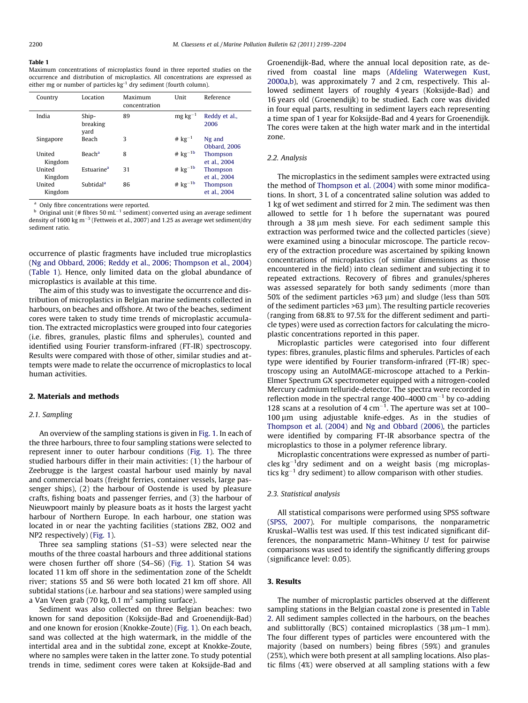#### <span id="page-1-0"></span>Table 1

Maximum concentrations of microplastics found in three reported studies on the occurrence and distribution of microplastics. All concentrations are expressed as either mg or number of particles kg<sup>-1</sup> dry sediment (fourth column).

| Country           | Location                  | Maximum<br>concentration | Unit          | Reference                      |
|-------------------|---------------------------|--------------------------|---------------|--------------------------------|
| India             | Ship-<br>breaking<br>vard | 89                       | $mg\,kg^{-1}$ | Reddy et al.,<br>2006          |
| Singapore         | Beach                     | 3                        | # $kg^{-1}$   | Ng and<br><b>Obbard</b> , 2006 |
| United<br>Kingdom | <b>Beach</b> <sup>a</sup> | 8                        | # $kg^{-1b}$  | Thompson<br>et al., 2004       |
| United<br>Kingdom | Estuarine <sup>a</sup>    | 31                       | # $kg^{-1b}$  | Thompson<br>et al., 2004       |
| United<br>Kingdom | Subtidal <sup>a</sup>     | 86                       | # $kg^{-1b}$  | Thompson<br>et al., 2004       |

Only fibre concentrations were reported.

 $^{\rm b}$  Original unit (# fibres 50 mL<sup>-1</sup> sediment) converted using an average sediment density of 1600 kg m $^{-3}$  (Fettweis et al., 2007) and 1.25 as average wet sediment/dry sediment ratio.

occurrence of plastic fragments have included true microplastics ([Ng and Obbard, 2006; Reddy et al., 2006; Thompson et al., 2004\)](#page-5-0) (Table 1). Hence, only limited data on the global abundance of microplastics is available at this time.

The aim of this study was to investigate the occurrence and distribution of microplastics in Belgian marine sediments collected in harbours, on beaches and offshore. At two of the beaches, sediment cores were taken to study time trends of microplastic accumulation. The extracted microplastics were grouped into four categories (i.e. fibres, granules, plastic films and spherules), counted and identified using Fourier transform-infrared (FT-IR) spectroscopy. Results were compared with those of other, similar studies and attempts were made to relate the occurrence of microplastics to local human activities.

#### 2. Materials and methods

#### 2.1. Sampling

An overview of the sampling stations is given in [Fig. 1.](#page-2-0) In each of the three harbours, three to four sampling stations were selected to represent inner to outer harbour conditions ([Fig. 1\)](#page-2-0). The three studied harbours differ in their main activities: (1) the harbour of Zeebrugge is the largest coastal harbour used mainly by naval and commercial boats (freight ferries, container vessels, large passenger ships), (2) the harbour of Oostende is used by pleasure crafts, fishing boats and passenger ferries, and (3) the harbour of Nieuwpoort mainly by pleasure boats as it hosts the largest yacht harbour of Northern Europe. In each harbour, one station was located in or near the yachting facilities (stations ZB2, OO2 and NP2 respectively) ([Fig. 1](#page-2-0)).

Three sea sampling stations (S1–S3) were selected near the mouths of the three coastal harbours and three additional stations were chosen further off shore (S4–S6) [\(Fig. 1](#page-2-0)). Station S4 was located 11 km off shore in the sedimentation zone of the Scheldt river; stations S5 and S6 were both located 21 km off shore. All subtidal stations (i.e. harbour and sea stations) were sampled using a Van Veen grab (70 kg, 0.1  $\mathrm{m}^2$  sampling surface).

Sediment was also collected on three Belgian beaches: two known for sand deposition (Koksijde-Bad and Groenendijk-Bad) and one known for erosion (Knokke-Zoute) [\(Fig. 1](#page-2-0)). On each beach, sand was collected at the high watermark, in the middle of the intertidal area and in the subtidal zone, except at Knokke-Zoute, where no samples were taken in the latter zone. To study potential trends in time, sediment cores were taken at Koksijde-Bad and

Groenendijk-Bad, where the annual local deposition rate, as derived from coastal line maps ([Afdeling Waterwegen Kust,](#page-5-0) [2000a,b](#page-5-0)), was approximately 7 and 2 cm, respectively. This allowed sediment layers of roughly 4 years (Koksijde-Bad) and 16 years old (Groenendijk) to be studied. Each core was divided in four equal parts, resulting in sediment layers each representing a time span of 1 year for Koksijde-Bad and 4 years for Groenendijk. The cores were taken at the high water mark and in the intertidal zone.

#### 2.2. Analysis

The microplastics in the sediment samples were extracted using the method of [Thompson et al. \(2004\)](#page-5-0) with some minor modifications. In short, 3 L of a concentrated saline solution was added to 1 kg of wet sediment and stirred for 2 min. The sediment was then allowed to settle for 1 h before the supernatant was poured through a  $38 \mu m$  mesh sieve. For each sediment sample this extraction was performed twice and the collected particles (sieve) were examined using a binocular microscope. The particle recovery of the extraction procedure was ascertained by spiking known concentrations of microplastics (of similar dimensions as those encountered in the field) into clean sediment and subjecting it to repeated extractions. Recovery of fibres and granules/spheres was assessed separately for both sandy sediments (more than 50% of the sediment particles  $>63 \mu m$ ) and sludge (less than 50% of the sediment particles  $>63 \mu m$ ). The resulting particle recoveries (ranging from 68.8% to 97.5% for the different sediment and particle types) were used as correction factors for calculating the microplastic concentrations reported in this paper.

Microplastic particles were categorised into four different types: fibres, granules, plastic films and spherules. Particles of each type were identified by Fourier transform-infrared (FT-IR) spectroscopy using an AutoIMAGE-microscope attached to a Perkin-Elmer Spectrum GX spectrometer equipped with a nitrogen-cooled Mercury cadmium telluride-detector. The spectra were recorded in reflection mode in the spectral range 400–4000  $cm^{-1}$  by co-adding 128 scans at a resolution of  $4 \text{ cm}^{-1}$ . The aperture was set at 100-100 µm using adjustable knife-edges. As in the studies of [Thompson et al. \(2004\)](#page-5-0) and [Ng and Obbard \(2006\),](#page-5-0) the particles were identified by comparing FT-IR absorbance spectra of the microplastics to those in a polymer reference library.

Microplastic concentrations were expressed as number of particles kg-1 dry sediment and on a weight basis (mg microplastics  $kg<sup>-1</sup>$  dry sediment) to allow comparison with other studies.

#### 2.3. Statistical analysis

All statistical comparisons were performed using SPSS software ([SPSS, 2007](#page-5-0)). For multiple comparisons, the nonparametric Kruskal–Wallis test was used. If this test indicated significant differences, the nonparametric Mann–Whitney U test for pairwise comparisons was used to identify the significantly differing groups (significance level: 0.05).

### 3. Results

The number of microplastic particles observed at the different sampling stations in the Belgian coastal zone is presented in [Table](#page-3-0) [2](#page-3-0). All sediment samples collected in the harbours, on the beaches and sublittorally (BCS) contained microplastics  $(38 \mu m-1 \text{ mm})$ . The four different types of particles were encountered with the majority (based on numbers) being fibres (59%) and granules (25%), which were both present at all sampling locations. Also plastic films (4%) were observed at all sampling stations with a few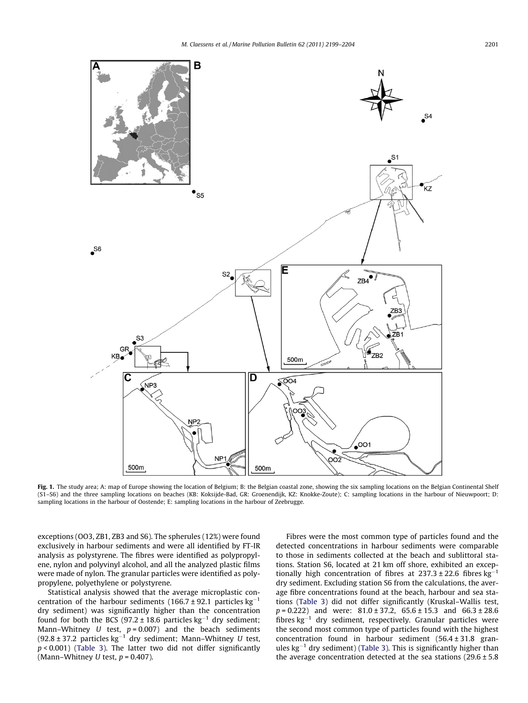<span id="page-2-0"></span>

Fig. 1. The study area; A: map of Europe showing the location of Belgium; B: the Belgian coastal zone, showing the six sampling locations on the Belgian Continental Shelf (S1–S6) and the three sampling locations on beaches (KB: Koksijde-Bad, GR: Groenendijk, KZ: Knokke-Zoute); C: sampling locations in the harbour of Nieuwpoort; D: sampling locations in the harbour of Oostende; E: sampling locations in the harbour of Zeebrugge.

exceptions (OO3, ZB1, ZB3 and S6). The spherules (12%) were found exclusively in harbour sediments and were all identified by FT-IR analysis as polystyrene. The fibres were identified as polypropylene, nylon and polyvinyl alcohol, and all the analyzed plastic films were made of nylon. The granular particles were identified as polypropylene, polyethylene or polystyrene.

Statistical analysis showed that the average microplastic concentration of the harbour sediments (166.7  $\pm$  92.1 particles kg<sup>-1</sup> dry sediment) was significantly higher than the concentration found for both the BCS (97.2  $\pm$  18.6 particles kg<sup>-1</sup> dry sediment; Mann–Whitney U test,  $p = 0.007$ ) and the beach sediments  $(92.8 \pm 37.2$  particles kg<sup>-1</sup> dry sediment; Mann-Whitney U test,  $p$  < 0.001) ([Table 3\)](#page-3-0). The latter two did not differ significantly (Mann–Whitney U test,  $p = 0.407$ ).

Fibres were the most common type of particles found and the detected concentrations in harbour sediments were comparable to those in sediments collected at the beach and sublittoral stations. Station S6, located at 21 km off shore, exhibited an exceptionally high concentration of fibres at  $237.3 \pm 22.6$  fibres kg<sup>-1</sup> dry sediment. Excluding station S6 from the calculations, the average fibre concentrations found at the beach, harbour and sea stations ([Table 3\)](#page-3-0) did not differ significantly (Kruskal–Wallis test,  $p = 0.222$ ) and were:  $81.0 \pm 37.2$ ,  $65.6 \pm 15.3$  and  $66.3 \pm 28.6$ fibres  $kg^{-1}$  dry sediment, respectively. Granular particles were the second most common type of particles found with the highest concentration found in harbour sediment (56.4 ± 31.8 granules  $kg^{-1}$  dry sediment) [\(Table 3](#page-3-0)). This is significantly higher than the average concentration detected at the sea stations  $(29.6 \pm 5.8$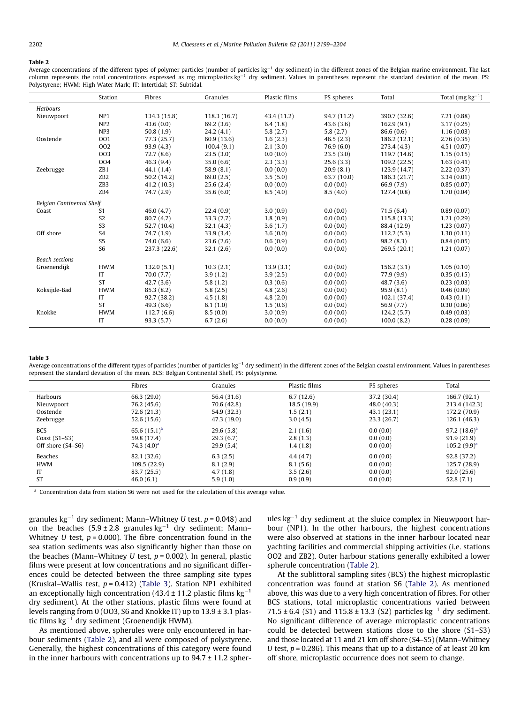#### <span id="page-3-0"></span>Table 2

Average concentrations of the different types of polymer particles (number of particles kg<sup>-1</sup> dry sediment) in the different zones of the Belgian marine environment. The last column represents the total concentrations expressed as mg microplastics kg<sup>-1</sup> dry sediment. Values in parentheses represent the standard deviation of the mean. PS: Polystyrene; HWM: High Water Mark; IT: Intertidal; ST: Subtidal.

|                           | Station         | Fibres       | Granules    | Plastic films | PS spheres  | Total        | Total $(mg kg^{-1})$ |
|---------------------------|-----------------|--------------|-------------|---------------|-------------|--------------|----------------------|
| Harbours                  |                 |              |             |               |             |              |                      |
| Nieuwpoort                | NP <sub>1</sub> | 134.3 (15.8) | 118.3(16.7) | 43.4 (11.2)   | 94.7 (11.2) | 390.7 (32.6) | 7.21(0.88)           |
|                           | NP <sub>2</sub> | 43.6(0.0)    | 69.2(3.6)   | 6.4(1.8)      | 43.6(3.6)   | 162.9(9.1)   | 3.17(0.25)           |
|                           | NP <sub>3</sub> | 50.8(1.9)    | 24.2(4.1)   | 5.8(2.7)      | 5.8(2.7)    | 86.6(0.6)    | 1.16(0.03)           |
| Oostende                  | 001             | 77.3 (25.7)  | 60.9 (13.6) | 1.6(2.3)      | 46.5(2.3)   | 186.2(12.1)  | 2.76(0.35)           |
|                           | 002             | 93.9(4.3)    | 100.4(9.1)  | 2.1(3.0)      | 76.9(6.0)   | 273.4 (4.3)  | 4.51(0.07)           |
|                           | 003             | 72.7(8.6)    | 23.5(3.0)   | 0.0(0.0)      | 23.5(3.0)   | 119.7 (14.6) | 1.15(0.15)           |
|                           | 004             | 46.3(9.4)    | 35.0(6.6)   | 2.3(3.3)      | 25.6(3.3)   | 109.2(22.5)  | 1.63(0.41)           |
| Zeebrugge                 | ZB1             | 44.1(1.4)    | 58.9(8.1)   | 0.0(0.0)      | 20.9(8.1)   | 123.9 (14.7) | 2.22(0.37)           |
|                           | ZB <sub>2</sub> | 50.2(14.2)   | 69.0(2.5)   | 3.5(5.0)      | 63.7 (10.0) | 186.3 (21.7) | 3.34(0.01)           |
|                           | ZB <sub>3</sub> | 41.2(10.3)   | 25.6(2.4)   | 0.0(0.0)      | 0.0(0.0)    | 66.9 (7.9)   | 0.85(0.07)           |
|                           | ZB4             | 74.7(2.9)    | 35.6(6.0)   | 8.5(4.0)      | 8.5(4.0)    | 127.4(0.8)   | 1.70(0.04)           |
| Belgian Continental Shelf |                 |              |             |               |             |              |                      |
| Coast                     | S <sub>1</sub>  | 46.0(4.7)    | 22.4(0.9)   | 3.0(0.9)      | 0.0(0.0)    | 71.5(6.4)    | 0.89(0.07)           |
|                           | S <sub>2</sub>  | 80.7(4.7)    | 33.3(7.7)   | 1.8(0.9)      | 0.0(0.0)    | 115.8(13.3)  | 1.21(0.29)           |
|                           | S <sub>3</sub>  | 52.7 (10.4)  | 32.1(4.3)   | 3.6(1.7)      | 0.0(0.0)    | 88.4 (12.9)  | 1.23(0.07)           |
| Off shore                 | S <sub>4</sub>  | 74.7 (1.9)   | 33.9(3.4)   | 3.6(0.0)      | 0.0(0.0)    | 112.2(5.3)   | 1.30(0.11)           |
|                           | S <sub>5</sub>  | 74.0(6.6)    | 23.6(2.6)   | 0.6(0.9)      | 0.0(0.0)    | 98.2(8.3)    | 0.84(0.05)           |
|                           | S <sub>6</sub>  | 237.3 (22.6) | 32.1(2.6)   | 0.0(0.0)      | 0.0(0.0)    | 269.5 (20.1) | 1.21(0.07)           |
| <b>Beach sections</b>     |                 |              |             |               |             |              |                      |
| Groenendijk               | <b>HWM</b>      | 132.0(5.1)   | 10.3(2.1)   | 13.9(3.1)     | 0.0(0.0)    | 156.2(3.1)   | 1.05(0.10)           |
|                           | IT              | 70.0(7.7)    | 3.9(1.2)    | 3.9(2.5)      | 0.0(0.0)    | 77.9(9.9)    | 0.35(0.15)           |
|                           | <b>ST</b>       | 42.7(3.6)    | 5.8(1.2)    | 0.3(0.6)      | 0.0(0.0)    | 48.7(3.6)    | 0.23(0.03)           |
| Koksijde-Bad              | <b>HWM</b>      | 85.3(8.2)    | 5.8(2.5)    | 4.8(2.6)      | 0.0(0.0)    | 95.9(8.1)    | 0.46(0.09)           |
|                           | IT              | 92.7 (38.2)  | 4.5(1.8)    | 4.8(2.0)      | 0.0(0.0)    | 102.1 (37.4) | 0.43(0.11)           |
|                           | <b>ST</b>       | 49.3(6.6)    | 6.1(1.0)    | 1.5(0.6)      | 0.0(0.0)    | 56.9 (7.7)   | 0.30(0.06)           |
| Knokke                    | <b>HWM</b>      | 112.7(6.6)   | 8.5(0.0)    | 3.0(0.9)      | 0.0(0.0)    | 124.2(5.7)   | 0.49(0.03)           |
|                           | IT              | 93.3(5.7)    | 6.7(2.6)    | 0.0(0.0)      | 0.0(0.0)    | 100.0(8.2)   | 0.28(0.09)           |

#### Table 3

Average concentrations of the different types of particles (number of particles  $kg^{-1}$  dry sediment) in the different zones of the Belgian coastal environment. Values in parentheses represent the standard deviation of the mean. BCS: Belgian Continental Shelf, PS: polystyrene.

|                   | Fibres            | Granules    | Plastic films | PS spheres  | Total           |
|-------------------|-------------------|-------------|---------------|-------------|-----------------|
| Harbours          | 66.3 (29.0)       | 56.4 (31.6) | 6.7(12.6)     | 37.2 (30.4) | 166.7 (92.1)    |
| Nieuwpoort        | 76.2 (45.6)       | 70.6 (42.8) | 18.5(19.9)    | 48.0 (40.3) | 213.4 (142.3)   |
| Oostende          | 72.6 (21.3)       | 54.9 (32.3) | 1.5(2.1)      | 43.1(23.1)  | 172.2 (70.9)    |
| Zeebrugge         | 52.6 (15.6)       | 47.3 (19.0) | 3.0(4.5)      | 23.3 (26.7) | 126.1 (46.3)    |
| <b>BCS</b>        | 65.6 $(15.1)^{a}$ | 29.6(5.8)   | 2.1(1.6)      | 0.0(0.0)    | 97.2 $(18.6)^a$ |
| Coast $(S1-S3)$   | 59.8 (17.4)       | 29.3(6.7)   | 2.8(1.3)      | 0.0(0.0)    | 91.9(21.9)      |
| Off shore (S4–S6) | 74.3 $(4.0)^a$    | 29.9(5.4)   | 1.4(1.8)      | 0.0(0.0)    | $105.2(9.9)^a$  |
| Beaches           | 82.1 (32.6)       | 6.3(2.5)    | 4.4(4.7)      | 0.0(0.0)    | 92.8 (37.2)     |
| <b>HWM</b>        | 109.5(22.9)       | 8.1(2.9)    | 8.1(5.6)      | 0.0(0.0)    | 125.7 (28.9)    |
| IT                | 83.7 (25.5)       | 4.7(1.8)    | 3.5(2.6)      | 0.0(0.0)    | 92.0(25.6)      |
| <b>ST</b>         | 46.0(6.1)         | 5.9(1.0)    | 0.9(0.9)      | 0.0(0.0)    | 52.8(7.1)       |

<sup>a</sup> Concentration data from station S6 were not used for the calculation of this average value.

granules kg $^{-1}$  dry sediment; Mann–Whitney U test, p = 0.048) and on the beaches  $(5.9 \pm 2.8 \text{ granules kg}^{-1} \text{ dry sediment}$ ; Mann– Whitney U test,  $p = 0.000$ ). The fibre concentration found in the sea station sediments was also significantly higher than those on the beaches (Mann–Whitney U test,  $p = 0.002$ ). In general, plastic films were present at low concentrations and no significant differences could be detected between the three sampling site types (Kruskal–Wallis test,  $p = 0.412$ ) (Table 3). Station NP1 exhibited an exceptionally high concentration (43.4  $\pm$  11.2 plastic films kg $^{-1}$ dry sediment). At the other stations, plastic films were found at levels ranging from 0 (OO3, S6 and Knokke IT) up to  $13.9 \pm 3.1$  plastic films  $\text{kg}^{-1}$  dry sediment (Groenendijk HWM).

As mentioned above, spherules were only encountered in harbour sediments (Table 2), and all were composed of polystyrene. Generally, the highest concentrations of this category were found in the inner harbours with concentrations up to  $94.7 \pm 11.2$  spherules  $\text{kg}^{-1}$  dry sediment at the sluice complex in Nieuwpoort harbour (NP1). In the other harbours, the highest concentrations were also observed at stations in the inner harbour located near yachting facilities and commercial shipping activities (i.e. stations OO2 and ZB2). Outer harbour stations generally exhibited a lower spherule concentration (Table 2).

At the sublittoral sampling sites (BCS) the highest microplastic concentration was found at station S6 (Table 2). As mentioned above, this was due to a very high concentration of fibres. For other BCS stations, total microplastic concentrations varied between 71.5 ± 6.4 (S1) and 115.8 ± 13.3 (S2) particles  $kg^{-1}$  dry sediment. No significant difference of average microplastic concentrations could be detected between stations close to the shore (S1–S3) and those located at 11 and 21 km off shore (S4–S5) (Mann–Whitney U test,  $p = 0.286$ ). This means that up to a distance of at least 20 km off shore, microplastic occurrence does not seem to change.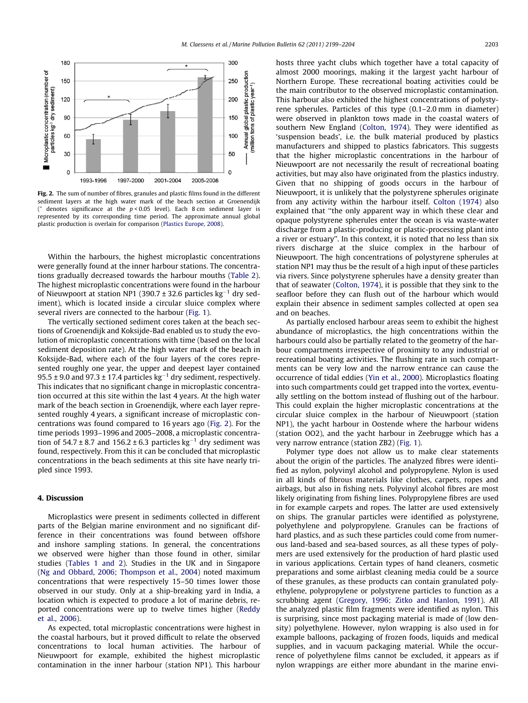

Fig. 2. The sum of number of fibres, granules and plastic films found in the different sediment layers at the high water mark of the beach section at Groenendijk (\* denotes significance at the  $p < 0.05$  level). Each 8 cm sediment layer is represented by its corresponding time period. The approximate annual global plastic production is overlain for comparison [\(Plastics Europe, 2008\)](#page-5-0).

Within the harbours, the highest microplastic concentrations were generally found at the inner harbour stations. The concentrations gradually decreased towards the harbour mouths ([Table 2\)](#page-3-0). The highest microplastic concentrations were found in the harbour of Nieuwpoort at station NP1 (390.7  $\pm$  32.6 particles kg $^{-1}$  dry sediment), which is located inside a circular sluice complex where several rivers are connected to the harbour ([Fig. 1](#page-2-0)).

The vertically sectioned sediment cores taken at the beach sections of Groenendijk and Koksijde-Bad enabled us to study the evolution of microplastic concentrations with time (based on the local sediment deposition rate). At the high water mark of the beach in Koksijde-Bad, where each of the four layers of the cores represented roughly one year, the upper and deepest layer contained 95.5  $\pm$  9.0 and 97.3  $\pm$  17.4 particles kg $^{-1}$  dry sediment, respectively. This indicates that no significant change in microplastic concentration occurred at this site within the last 4 years. At the high water mark of the beach section in Groenendijk, where each layer represented roughly 4 years, a significant increase of microplastic concentrations was found compared to 16 years ago (Fig. 2). For the time periods 1993–1996 and 2005–2008, a microplastic concentration of 54.7 ± 8.7 and 156.2 ± 6.3 particles  $kg^{-1}$  dry sediment was found, respectively. From this it can be concluded that microplastic concentrations in the beach sediments at this site have nearly tripled since 1993.

# 4. Discussion

Microplastics were present in sediments collected in different parts of the Belgian marine environment and no significant difference in their concentrations was found between offshore and inshore sampling stations. In general, the concentrations we observed were higher than those found in other, similar studies [\(Tables 1 and 2\)](#page-1-0). Studies in the UK and in Singapore ([Ng and Obbard, 2006; Thompson et al., 2004\)](#page-5-0) noted maximum concentrations that were respectively 15–50 times lower those observed in our study. Only at a ship-breaking yard in India, a location which is expected to produce a lot of marine debris, reported concentrations were up to twelve times higher [\(Reddy](#page-5-0) [et al., 2006](#page-5-0)).

As expected, total microplastic concentrations were highest in the coastal harbours, but it proved difficult to relate the observed concentrations to local human activities. The harbour of Nieuwpoort for example, exhibited the highest microplastic contamination in the inner harbour (station NP1). This harbour hosts three yacht clubs which together have a total capacity of almost 2000 moorings, making it the largest yacht harbour of Northern Europe. These recreational boating activities could be the main contributor to the observed microplastic contamination. This harbour also exhibited the highest concentrations of polystyrene spherules. Particles of this type (0.1–2.0 mm in diameter) were observed in plankton tows made in the coastal waters of southern New England [\(Colton, 1974\)](#page-5-0). They were identified as 'suspension beads', i.e. the bulk material produced by plastics manufacturers and shipped to plastics fabricators. This suggests that the higher microplastic concentrations in the harbour of Nieuwpoort are not necessarily the result of recreational boating activities, but may also have originated from the plastics industry. Given that no shipping of goods occurs in the harbour of Nieuwpoort, it is unlikely that the polystyrene spherules originate from any activity within the harbour itself. [Colton \(1974\)](#page-5-0) also explained that ''the only apparent way in which these clear and opaque polystyrene spherules enter the ocean is via waste-water discharge from a plastic-producing or plastic-processing plant into a river or estuary''. In this context, it is noted that no less than six rivers discharge at the sluice complex in the harbour of Nieuwpoort. The high concentrations of polystyrene spherules at station NP1 may thus be the result of a high input of these particles via rivers. Since polystyrene spherules have a density greater than that of seawater ([Colton, 1974](#page-5-0)), it is possible that they sink to the seafloor before they can flush out of the harbour which would explain their absence in sediment samples collected at open sea and on beaches.

As partially enclosed harbour areas seem to exhibit the highest abundance of microplastics, the high concentrations within the harbours could also be partially related to the geometry of the harbour compartments irrespective of proximity to any industrial or recreational boating activities. The flushing rate in such compartments can be very low and the narrow entrance can cause the occurrence of tidal eddies ([Yin et al., 2000](#page-5-0)). Microplastics floating into such compartments could get trapped into the vortex, eventually settling on the bottom instead of flushing out of the harbour. This could explain the higher microplastic concentrations at the circular sluice complex in the harbour of Nieuwpoort (station NP1), the yacht harbour in Oostende where the harbour widens (station OO2), and the yacht harbour in Zeebrugge which has a very narrow entrance (station ZB2) [\(Fig. 1](#page-2-0)).

Polymer type does not allow us to make clear statements about the origin of the particles. The analyzed fibres were identified as nylon, polyvinyl alcohol and polypropylene. Nylon is used in all kinds of fibrous materials like clothes, carpets, ropes and airbags, but also in fishing nets. Polyvinyl alcohol fibres are most likely originating from fishing lines. Polypropylene fibres are used in for example carpets and ropes. The latter are used extensively on ships. The granular particles were identified as polystyrene, polyethylene and polypropylene. Granules can be fractions of hard plastics, and as such these particles could come from numerous land-based and sea-based sources, as all these types of polymers are used extensively for the production of hard plastic used in various applications. Certain types of hand cleaners, cosmetic preparations and some airblast cleaning media could be a source of these granules, as these products can contain granulated polyethylene, polypropylene or polystyrene particles to function as a scrubbing agent [\(Gregory, 1996; Zitko and Hanlon, 1991](#page-5-0)). All the analyzed plastic film fragments were identified as nylon. This is surprising, since most packaging material is made of (low density) polyethylene. However, nylon wrapping is also used in for example balloons, packaging of frozen foods, liquids and medical supplies, and in vacuum packaging material. While the occurrence of polyethylene films cannot be excluded, it appears as if nylon wrappings are either more abundant in the marine envi